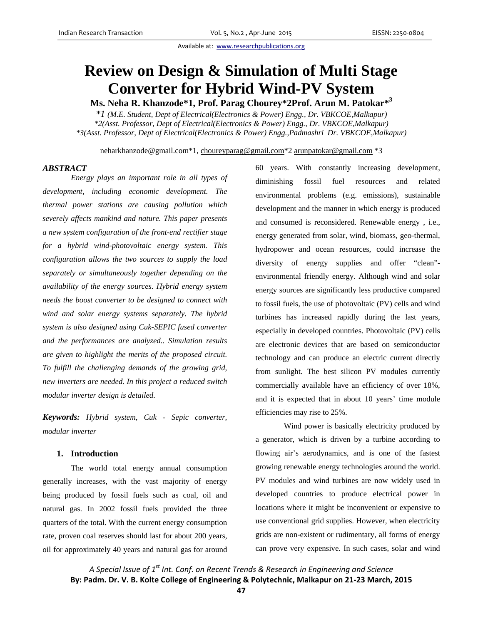# **Review on Design & Simulation of Multi Stage Converter for Hybrid Wind-PV System**

**Ms. Neha R. Khanzode\*1, Prof. Parag Chourey\*2Prof. Arun M. Patokar\*<sup>3</sup>**

*\*1 (M.E. Student, Dept of Electrical(Electronics & Power) Engg., Dr. VBKCOE,Malkapur) \*2(Asst. Professor, Dept of Electrical(Electronics & Power) Engg., Dr. VBKCOE,Malkapur) \*3(Asst. Professor, Dept of Electrical(Electronics & Power) Engg.,Padmashri Dr. VBKCOE,Malkapur)* 

neharkhanzode@gmail.com\*1, choureyparag@gmail.com\*2 arunpatokar@gmail.com \*3

# *ABSTRACT*

*Energy plays an important role in all types of development, including economic development. The thermal power stations are causing pollution which severely affects mankind and nature. This paper presents a new system configuration of the front-end rectifier stage for a hybrid wind-photovoltaic energy system. This configuration allows the two sources to supply the load separately or simultaneously together depending on the availability of the energy sources. Hybrid energy system needs the boost converter to be designed to connect with wind and solar energy systems separately. The hybrid system is also designed using Cuk-SEPIC fused converter and the performances are analyzed.. Simulation results are given to highlight the merits of the proposed circuit. To fulfill the challenging demands of the growing grid, new inverters are needed. In this project a reduced switch modular inverter design is detailed.* 

*Keywords: Hybrid system, Cuk - Sepic converter, modular inverter* 

# **1. Introduction**

The world total energy annual consumption generally increases, with the vast majority of energy being produced by fossil fuels such as coal, oil and natural gas. In 2002 fossil fuels provided the three quarters of the total. With the current energy consumption rate, proven coal reserves should last for about 200 years, oil for approximately 40 years and natural gas for around 60 years. With constantly increasing development, diminishing fossil fuel resources and related environmental problems (e.g. emissions), sustainable development and the manner in which energy is produced and consumed is reconsidered. Renewable energy , i.e., energy generated from solar, wind, biomass, geo-thermal, hydropower and ocean resources, could increase the diversity of energy supplies and offer "clean" environmental friendly energy. Although wind and solar energy sources are significantly less productive compared to fossil fuels, the use of photovoltaic (PV) cells and wind turbines has increased rapidly during the last years, especially in developed countries. Photovoltaic (PV) cells are electronic devices that are based on semiconductor technology and can produce an electric current directly from sunlight. The best silicon PV modules currently commercially available have an efficiency of over 18%, and it is expected that in about 10 years' time module efficiencies may rise to 25%.

Wind power is basically electricity produced by a generator, which is driven by a turbine according to flowing air's aerodynamics, and is one of the fastest growing renewable energy technologies around the world. PV modules and wind turbines are now widely used in developed countries to produce electrical power in locations where it might be inconvenient or expensive to use conventional grid supplies. However, when electricity grids are non-existent or rudimentary, all forms of energy can prove very expensive. In such cases, solar and wind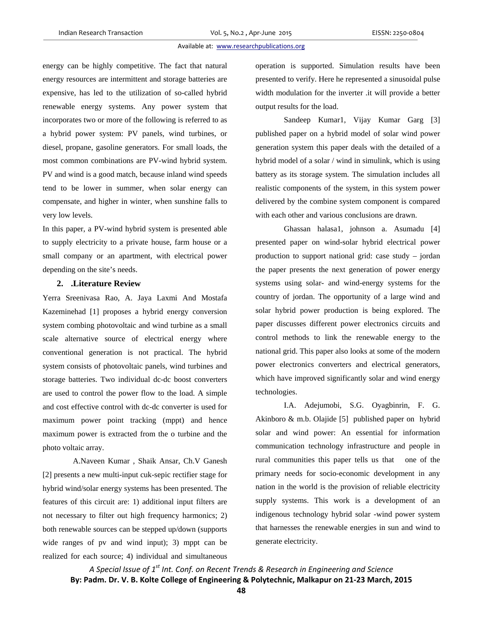energy can be highly competitive. The fact that natural energy resources are intermittent and storage batteries are expensive, has led to the utilization of so-called hybrid renewable energy systems. Any power system that incorporates two or more of the following is referred to as a hybrid power system: PV panels, wind turbines, or diesel, propane, gasoline generators. For small loads, the most common combinations are PV-wind hybrid system. PV and wind is a good match, because inland wind speeds tend to be lower in summer, when solar energy can compensate, and higher in winter, when sunshine falls to very low levels.

In this paper, a PV-wind hybrid system is presented able to supply electricity to a private house, farm house or a small company or an apartment, with electrical power depending on the site's needs.

# **2. .Literature Review**

Yerra Sreenivasa Rao, A. Jaya Laxmi And Mostafa Kazeminehad [1] proposes a hybrid energy conversion system combing photovoltaic and wind turbine as a small scale alternative source of electrical energy where conventional generation is not practical. The hybrid system consists of photovoltaic panels, wind turbines and storage batteries. Two individual dc-dc boost converters are used to control the power flow to the load. A simple and cost effective control with dc-dc converter is used for maximum power point tracking (mppt) and hence maximum power is extracted from the o turbine and the photo voltaic array.

 A.Naveen Kumar , Shaik Ansar, Ch.V Ganesh [2] presents a new multi-input cuk-sepic rectifier stage for hybrid wind/solar energy systems has been presented. The features of this circuit are: 1) additional input filters are not necessary to filter out high frequency harmonics; 2) both renewable sources can be stepped up/down (supports wide ranges of pv and wind input); 3) mppt can be realized for each source; 4) individual and simultaneous operation is supported. Simulation results have been presented to verify. Here he represented a sinusoidal pulse width modulation for the inverter .it will provide a better output results for the load.

Sandeep Kumar1, Vijay Kumar Garg [3] published paper on a hybrid model of solar wind power generation system this paper deals with the detailed of a hybrid model of a solar / wind in simulink, which is using battery as its storage system. The simulation includes all realistic components of the system, in this system power delivered by the combine system component is compared with each other and various conclusions are drawn.

 Ghassan halasa1, johnson a. Asumadu [4] presented paper on wind-solar hybrid electrical power production to support national grid: case study – jordan the paper presents the next generation of power energy systems using solar- and wind-energy systems for the country of jordan. The opportunity of a large wind and solar hybrid power production is being explored. The paper discusses different power electronics circuits and control methods to link the renewable energy to the national grid. This paper also looks at some of the modern power electronics converters and electrical generators, which have improved significantly solar and wind energy technologies.

I.A. Adejumobi, S.G. Oyagbinrin, F. G. Akinboro & m.b. Olajide [5] published paper on hybrid solar and wind power: An essential for information communication technology infrastructure and people in rural communities this paper tells us that one of the primary needs for socio-economic development in any nation in the world is the provision of reliable electricity supply systems. This work is a development of an indigenous technology hybrid solar -wind power system that harnesses the renewable energies in sun and wind to generate electricity.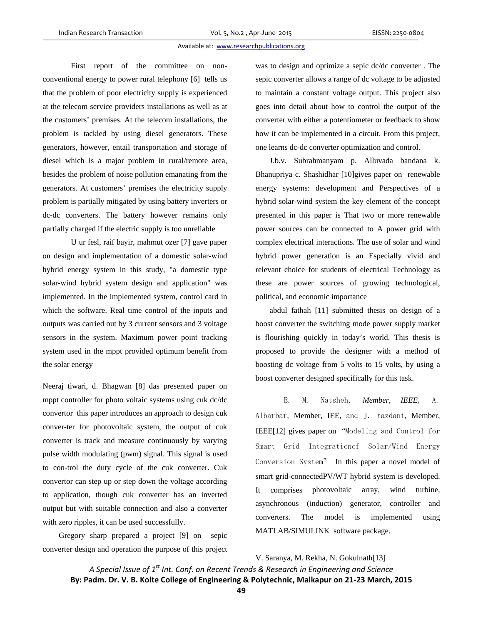First report of the committee on nonconventional energy to power rural telephony [6] tells us that the problem of poor electricity supply is experienced at the telecom service providers installations as well as at the customers' premises. At the telecom installations, the problem is tackled by using diesel generators. These generators, however, entail transportation and storage of diesel which is a major problem in rural/remote area, besides the problem of noise pollution emanating from the generators. At customers' premises the electricity supply problem is partially mitigated by using battery inverters or dc-dc converters. The battery however remains only partially charged if the electric supply is too unreliable

U ur fesl, raif bayir, mahmut ozer [7] gave paper on design and implementation of a domestic solar-wind hybrid energy system in this study, "a domestic type solar-wind hybrid system design and application" was implemented. In the implemented system, control card in which the software. Real time control of the inputs and outputs was carried out by 3 current sensors and 3 voltage sensors in the system. Maximum power point tracking system used in the mppt provided optimum benefit from the solar energy

Neeraj tiwari, d. Bhagwan [8] das presented paper on mppt controller for photo voltaic systems using cuk dc/dc convertor this paper introduces an approach to design cuk conver-ter for photovoltaic system, the output of cuk converter is track and measure continuously by varying pulse width modulating (pwm) signal. This signal is used to con-trol the duty cycle of the cuk converter. Cuk convertor can step up or step down the voltage according to application, though cuk converter has an inverted output but with suitable connection and also a converter with zero ripples, it can be used successfully.

 Gregory sharp prepared a project [9] on sepic converter design and operation the purpose of this project was to design and optimize a sepic dc/dc converter . The sepic converter allows a range of dc voltage to be adjusted to maintain a constant voltage output. This project also goes into detail about how to control the output of the converter with either a potentiometer or feedback to show how it can be implemented in a circuit. From this project, one learns dc-dc converter optimization and control.

J.b.v. Subrahmanyam p. Alluvada bandana k. Bhanupriya c. Shashidhar [10]gives paper on renewable energy systems: development and Perspectives of a hybrid solar-wind system the key element of the concept presented in this paper is That two or more renewable power sources can be connected to A power grid with complex electrical interactions. The use of solar and wind hybrid power generation is an Especially vivid and relevant choice for students of electrical Technology as these are power sources of growing technological, political, and economic importance

abdul fathah [11] submitted thesis on design of a boost converter the switching mode power supply market is flourishing quickly in today's world. This thesis is proposed to provide the designer with a method of boosting dc voltage from 5 volts to 15 volts, by using a boost converter designed specifically for this task.

E. M. Natsheh, *Member, IEEE*, A. Albarbar*,* Member, IEE, and J. Yazdani, Member, IEEE[12] gives paper on "Modeling and Control for Smart Grid Integrationof Solar/Wind Energy Conversion System" In this paper a novel model of smart grid-connectedPV/WT hybrid system is developed. It comprises photovoltaic array, wind turbine, asynchronous (induction) generator, controller and converters. The model is implemented using MATLAB/SIMULINK software package.

V. Saranya, M. Rekha, N. Gokulnath[13]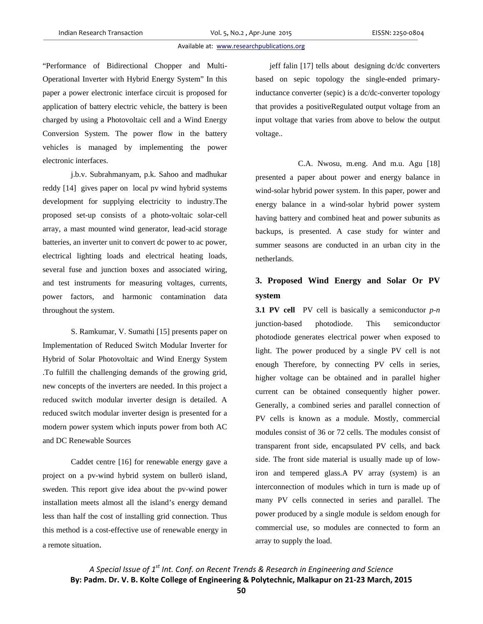"Performance of Bidirectional Chopper and Multi-Operational Inverter with Hybrid Energy System" In this paper a power electronic interface circuit is proposed for application of battery electric vehicle, the battery is been charged by using a Photovoltaic cell and a Wind Energy Conversion System. The power flow in the battery vehicles is managed by implementing the power electronic interfaces.

j.b.v. Subrahmanyam, p.k. Sahoo and madhukar reddy [14] gives paper on local pv wind hybrid systems development for supplying electricity to industry.The proposed set-up consists of a photo-voltaic solar-cell array, a mast mounted wind generator, lead-acid storage batteries, an inverter unit to convert dc power to ac power, electrical lighting loads and electrical heating loads, several fuse and junction boxes and associated wiring, and test instruments for measuring voltages, currents, power factors, and harmonic contamination data throughout the system.

S. Ramkumar, V. Sumathi [15] presents paper on Implementation of Reduced Switch Modular Inverter for Hybrid of Solar Photovoltaic and Wind Energy System .To fulfill the challenging demands of the growing grid, new concepts of the inverters are needed. In this project a reduced switch modular inverter design is detailed. A reduced switch modular inverter design is presented for a modern power system which inputs power from both AC and DC Renewable Sources

Caddet centre [16] for renewable energy gave a project on a pv-wind hybrid system on bullerö island, sweden. This report give idea about the pv-wind power installation meets almost all the island's energy demand less than half the cost of installing grid connection. Thus this method is a cost-effective use of renewable energy in a remote situation.

jeff falin [17] tells about designing dc/dc converters based on sepic topology the single-ended primaryinductance converter (sepic) is a dc/dc-converter topology that provides a positiveRegulated output voltage from an input voltage that varies from above to below the output voltage..

 C.A. Nwosu, m.eng. And m.u. Agu [18] presented a paper about power and energy balance in wind-solar hybrid power system. In this paper, power and energy balance in a wind-solar hybrid power system having battery and combined heat and power subunits as backups, is presented. A case study for winter and summer seasons are conducted in an urban city in the netherlands.

# **3. Proposed Wind Energy and Solar Or PV system**

**3.1 PV cell** PV cell is basically a semiconductor *p-n*  junction-based photodiode. This semiconductor photodiode generates electrical power when exposed to light. The power produced by a single PV cell is not enough Therefore, by connecting PV cells in series, higher voltage can be obtained and in parallel higher current can be obtained consequently higher power. Generally, a combined series and parallel connection of PV cells is known as a module. Mostly, commercial modules consist of 36 or 72 cells. The modules consist of transparent front side, encapsulated PV cells, and back side. The front side material is usually made up of lowiron and tempered glass.A PV array (system) is an interconnection of modules which in turn is made up of many PV cells connected in series and parallel. The power produced by a single module is seldom enough for commercial use, so modules are connected to form an array to supply the load.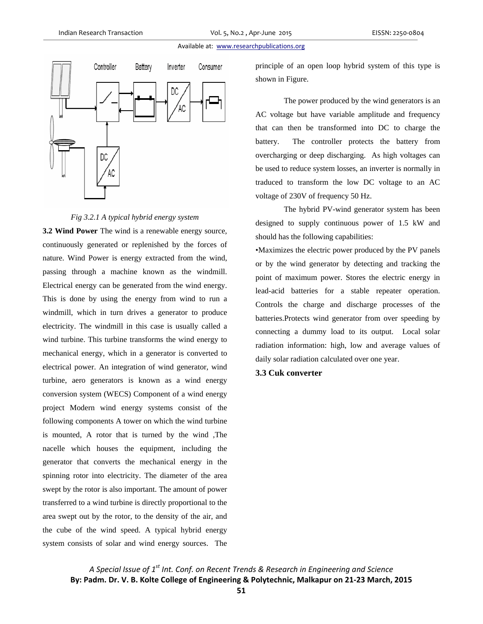

#### *Fig 3.2.1 A typical hybrid energy system*

**3.2 Wind Power** The wind is a renewable energy source, continuously generated or replenished by the forces of nature. Wind Power is energy extracted from the wind, passing through a machine known as the windmill. Electrical energy can be generated from the wind energy. This is done by using the energy from wind to run a windmill, which in turn drives a generator to produce electricity. The windmill in this case is usually called a wind turbine. This turbine transforms the wind energy to mechanical energy, which in a generator is converted to electrical power. An integration of wind generator, wind turbine, aero generators is known as a wind energy conversion system (WECS) Component of a wind energy project Modern wind energy systems consist of the following components A tower on which the wind turbine is mounted, A rotor that is turned by the wind ,The nacelle which houses the equipment, including the generator that converts the mechanical energy in the spinning rotor into electricity. The diameter of the area swept by the rotor is also important. The amount of power transferred to a wind turbine is directly proportional to the area swept out by the rotor, to the density of the air, and the cube of the wind speed. A typical hybrid energy system consists of solar and wind energy sources. The

principle of an open loop hybrid system of this type is shown in Figure.

The power produced by the wind generators is an AC voltage but have variable amplitude and frequency that can then be transformed into DC to charge the battery. The controller protects the battery from overcharging or deep discharging. As high voltages can be used to reduce system losses, an inverter is normally in traduced to transform the low DC voltage to an AC voltage of 230V of frequency 50 Hz.

The hybrid PV-wind generator system has been designed to supply continuous power of 1.5 kW and should has the following capabilities:

•Maximizes the electric power produced by the PV panels or by the wind generator by detecting and tracking the point of maximum power. Stores the electric energy in lead-acid batteries for a stable repeater operation. Controls the charge and discharge processes of the batteries.Protects wind generator from over speeding by connecting a dummy load to its output. Local solar radiation information: high, low and average values of daily solar radiation calculated over one year.

# **3.3 Cuk converter**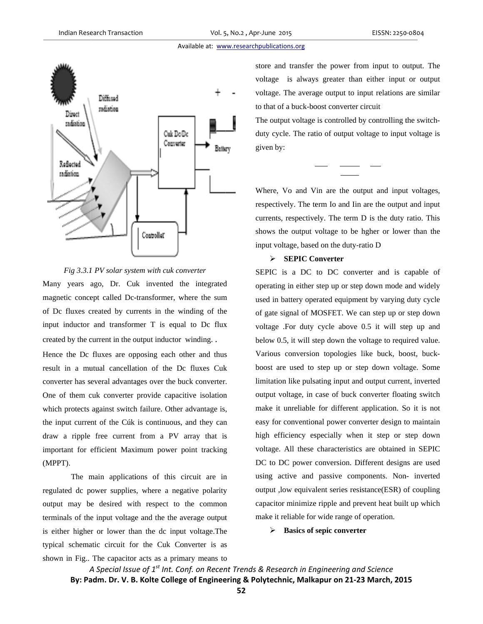

#### *Fig 3.3.1 PV solar system with cuk converter*

Many years ago, Dr. Cuk invented the integrated magnetic concept called Dc-transformer, where the sum of Dc fluxes created by currents in the winding of the input inductor and transformer  $T$  is equal to Dc flux created by the current in the output inductor winding.. edme<br>me<br>ux<br>us<br>us<br>kr.

Hence the Dc fluxes are opposing each other and thus result in a mutual cancellation of the Dc fluxes Cuk c converter has s several advanta ages over the b buck converter One of them cuk converter provide capacitive isolation One of them cuk converter provide capacitive isolation<br>which protects against switch failure. Other advantage is, the input current of the Cúk is continuous, and they can d draw a ripple free current from a PV array that is im mportant for efficient Max imum power point tracking ( MPPT).

regulated dc power supplies, where a negative polarity output may be desired with respect to the common terminals of the input voltage and the the average output is either higher or lower than the dc input voltage.The typical schematic circuit for the Cuk Converter is as shown in Fig.. The capacitor acts as a primary means to The main applications of this circuit are in

voltage is always greater than either input or output voltage. The average output to input relations are similar to that of a buck-boost converter circuit e and transfer the power from input to output. The

The output voltage is controlled by controlling the switchduty cycle. The ratio of output voltage to input voltage is given by:

Where, Vo and Vin are the output and input voltages, respectively. The term Io and Iin are the output and input currents, respectively. The term D is the duty ratio. This shows the output voltage to be hgher or lower than the input voltage, based on the duty-ratio D

### **SEPIC Co onverter**

SEPIC is a DC to DC converter and is capable of operating in either step up or step down mode and widely used in battery operated equipment by varying duty cycle of gate signal of MOSFET. We can step up or step down voltage .For duty cycle above 0.5 it will step up and below 0.5, it will step down the voltage to required value. Various conversion topologies like buck, boost, buckboost are used to step up or step down voltage. Some limitation like pulsating input and output current, inverted output voltage, in case of buck converter floating switch make it unreliable for different application. So it is not easy for conventional power converter design to maintain high efficiency especially when it step or step down voltage. All these characteristics are obtained in SEPIC DC to DC power conversion. Different designs are used using active and passive components. Non- inverted output , low equivalent series resistance (ESR) of coupling capacitor minimize ripple and prevent heat built up which make it reliable for wide range of operation.

#### **Basics of sepic converte er**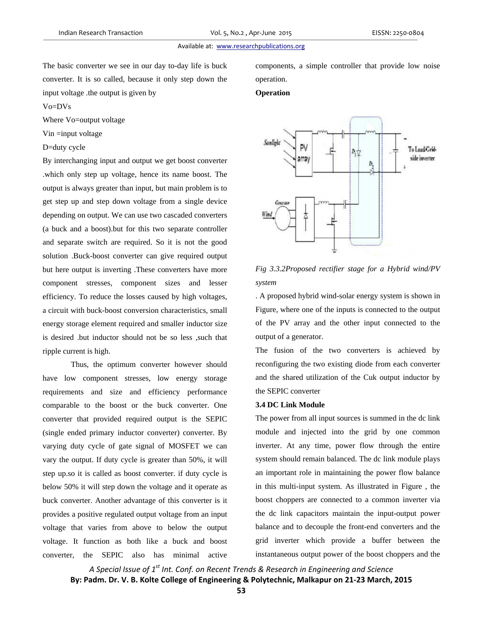The basic converter we see in our day to-day life is buck converter. It is so called, because it only step down the input voltage .the output is given by

components, a simple controller that provide low noise operation.

# **Operation**

#### Vo=DVs

Where Vo=output voltage

Vin =input voltage

# D=duty cycle

By interchanging input and output we get boost converter .which only step up voltage, hence its name boost. The output is always greater than input, but main problem is to get step up and step down voltage from a single device depending on output. We can use two cascaded converters (a buck and a boost).but for this two separate controller and separate switch are required. So it is not the good solution .Buck-boost converter can give required output but here output is inverting .These converters have more component stresses, component sizes and lesser efficiency. To reduce the losses caused by high voltages, a circuit with buck-boost conversion characteristics, small energy storage element required and smaller inductor size is desired .but inductor should not be so less ,such that ripple current is high.

Thus, the optimum converter however should have low component stresses, low energy storage requirements and size and efficiency performance comparable to the boost or the buck converter. One converter that provided required output is the SEPIC (single ended primary inductor converter) converter. By varying duty cycle of gate signal of MOSFET we can vary the output. If duty cycle is greater than 50%, it will step up.so it is called as boost converter. if duty cycle is below 50% it will step down the voltage and it operate as buck converter. Another advantage of this converter is it provides a positive regulated output voltage from an input voltage that varies from above to below the output voltage. It function as both like a buck and boost converter, the SEPIC also has minimal active



# *Fig 3.3.2Proposed rectifier stage for a Hybrid wind/PV system*

. A proposed hybrid wind-solar energy system is shown in Figure, where one of the inputs is connected to the output of the PV array and the other input connected to the output of a generator.

The fusion of the two converters is achieved by reconfiguring the two existing diode from each converter and the shared utilization of the Cuk output inductor by the SEPIC converter

# **3.4 DC Link Module**

The power from all input sources is summed in the dc link module and injected into the grid by one common inverter. At any time, power flow through the entire system should remain balanced. The dc link module plays an important role in maintaining the power flow balance in this multi-input system. As illustrated in Figure , the boost choppers are connected to a common inverter via the dc link capacitors maintain the input-output power balance and to decouple the front-end converters and the grid inverter which provide a buffer between the instantaneous output power of the boost choppers and the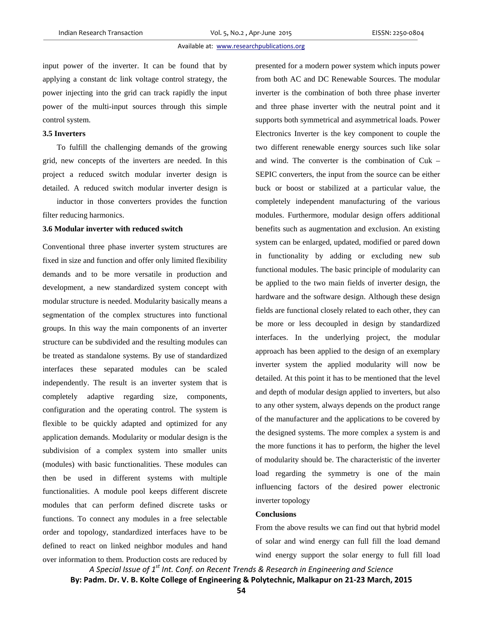input power of the inverter. It can be found that by applying a constant dc link voltage control strategy, the power injecting into the grid can track rapidly the input power of the multi-input sources through this simple control system.

# **3.5 Inverters**

To fulfill the challenging demands of the growing grid, new concepts of the inverters are needed. In this project a reduced switch modular inverter design is detailed. A reduced switch modular inverter design is

inductor in those converters provides the function filter reducing harmonics.

# **3.6 Modular inverter with reduced switch**

Conventional three phase inverter system structures are fixed in size and function and offer only limited flexibility demands and to be more versatile in production and development, a new standardized system concept with modular structure is needed. Modularity basically means a segmentation of the complex structures into functional groups. In this way the main components of an inverter structure can be subdivided and the resulting modules can be treated as standalone systems. By use of standardized interfaces these separated modules can be scaled independently. The result is an inverter system that is completely adaptive regarding size, components, configuration and the operating control. The system is flexible to be quickly adapted and optimized for any application demands. Modularity or modular design is the subdivision of a complex system into smaller units (modules) with basic functionalities. These modules can then be used in different systems with multiple functionalities. A module pool keeps different discrete modules that can perform defined discrete tasks or functions. To connect any modules in a free selectable order and topology, standardized interfaces have to be defined to react on linked neighbor modules and hand over information to them. Production costs are reduced by presented for a modern power system which inputs power from both AC and DC Renewable Sources. The modular inverter is the combination of both three phase inverter and three phase inverter with the neutral point and it supports both symmetrical and asymmetrical loads. Power Electronics Inverter is the key component to couple the two different renewable energy sources such like solar and wind. The converter is the combination of Cuk – SEPIC converters, the input from the source can be either buck or boost or stabilized at a particular value, the completely independent manufacturing of the various modules. Furthermore, modular design offers additional benefits such as augmentation and exclusion. An existing system can be enlarged, updated, modified or pared down in functionality by adding or excluding new sub functional modules. The basic principle of modularity can be applied to the two main fields of inverter design, the hardware and the software design. Although these design fields are functional closely related to each other, they can be more or less decoupled in design by standardized interfaces. In the underlying project, the modular approach has been applied to the design of an exemplary inverter system the applied modularity will now be detailed. At this point it has to be mentioned that the level and depth of modular design applied to inverters, but also to any other system, always depends on the product range of the manufacturer and the applications to be covered by the designed systems. The more complex a system is and the more functions it has to perform, the higher the level of modularity should be. The characteristic of the inverter load regarding the symmetry is one of the main influencing factors of the desired power electronic inverter topology

## **Conclusions**

From the above results we can find out that hybrid model of solar and wind energy can full fill the load demand wind energy support the solar energy to full fill load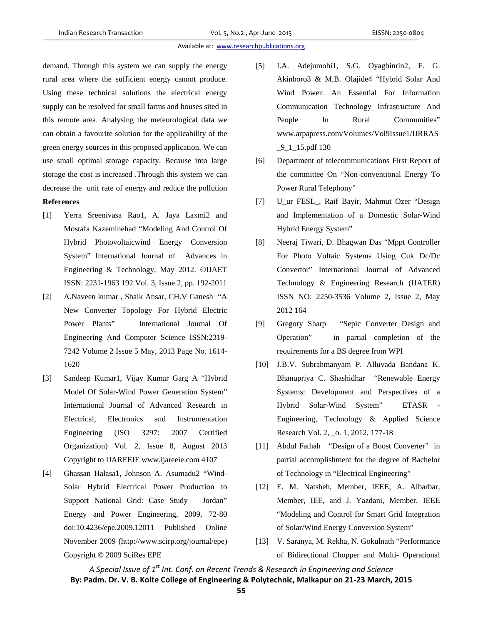demand. Through this system we can supply the energy rural area where the sufficient energy cannot produce. Using these technical solutions the electrical energy supply can be resolved for small farms and houses sited in this remote area. Analysing the meteorological data we can obtain a favourite solution for the applicability of the green energy sources in this proposed application. We can use small optimal storage capacity. Because into large storage the cost is increased .Through this system we can decrease the unit rate of energy and reduce the pollution

# **References**

- [1] Yerra Sreenivasa Rao1, A. Jaya Laxmi2 and Mostafa Kazeminehad "Modeling And Control Of Hybrid Photovoltaicwind Energy Conversion System" International Journal of Advances in Engineering & Technology, May 2012. ©IJAET ISSN: 2231-1963 192 Vol. 3, Issue 2, pp. 192-2011
- [2] A.Naveen kumar , Shaik Ansar, CH.V Ganesh "A New Converter Topology For Hybrid Electric Power Plants" International Journal Of Engineering And Computer Science ISSN:2319- 7242 Volume 2 Issue 5 May, 2013 Page No. 1614- 1620
- [3] Sandeep Kumar1, Vijay Kumar Garg A "Hybrid Model Of Solar-Wind Power Generation System" International Journal of Advanced Research in Electrical, Electronics and Instrumentation Engineering (ISO 3297: 2007 Certified Organization) Vol. 2, Issue 8, August 2013 Copyright to IJAREEIE www.ijareeie.com 4107
- [4] Ghassan Halasa1, Johnson A. Asumadu2 "Wind-Solar Hybrid Electrical Power Production to Support National Grid: Case Study – Jordan" Energy and Power Engineering, 2009, 72-80 doi:10.4236/epe.2009.12011 Published Online November 2009 (http://www.scirp.org/journal/epe) Copyright © 2009 SciRes EPE
- [5] I.A. Adejumobi1, S.G. Oyagbinrin2, F. G. Akinboro3 & M.B. Olajide4 "Hybrid Solar And Wind Power: An Essential For Information Communication Technology Infrastructure And People In Rural Communities" www.arpapress.com/Volumes/Vol9Issue1/IJRRAS  $-9$ <sup>1</sup> $-15$ .pdf 130
- [6] Department of telecommunications First Report of the committee On "Non-conventional Energy To Power Rural Telephony"
- [7] U\_ur FESL\_, Raif Bayir, Mahmut Ozer "Design and Implementation of a Domestic Solar-Wind Hybrid Energy System"
- [8] Neeraj Tiwari, D. Bhagwan Das "Mppt Controller For Photo Voltaic Systems Using Cuk Dc/Dc Convertor" International Journal of Advanced Technology & Engineering Research (IJATER) ISSN NO: 2250-3536 Volume 2, Issue 2, May 2012 164
- [9] Gregory Sharp "Sepic Converter Design and Operation" in partial completion of the requirements for a BS degree from WPI
- [10] J.B.V. Subrahmanyam P. Alluvada Bandana K. Bhanupriya C. Shashidhar "Renewable Energy Systems: Development and Perspectives of a Hybrid Solar-Wind System" ETASR - Engineering, Technology & Applied Science Research Vol. 2, \_o. 1, 2012, 177-18
- [11] Abdul Fathah "Design of a Boost Converter" in partial accomplishment for the degree of Bachelor of Technology in "Electrical Engineering"
- [12] E. M. Natsheh, Member, IEEE, A. Albarbar, Member, IEE, and J. Yazdani, Member, IEEE "Modeling and Control for Smart Grid Integration of Solar/Wind Energy Conversion System"
- [13] V. Saranya, M. Rekha, N. Gokulnath "Performance of Bidirectional Chopper and Multi- Operational